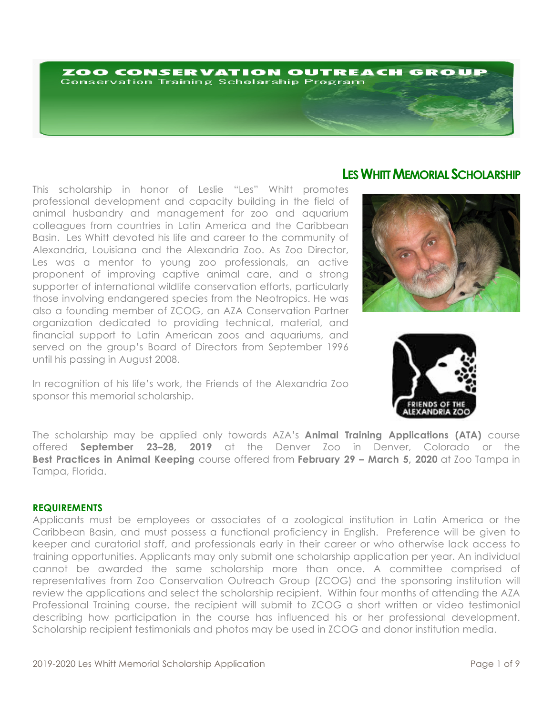# ZOO CONSERVATION OUTREACH GROUP **Conservation Training Scholarship Program**

This scholarship in honor of Leslie "Les" Whitt promotes professional development and capacity building in the field of animal husbandry and management for zoo and aquarium colleagues from countries in Latin America and the Caribbean Basin. Les Whitt devoted his life and career to the community of Alexandria, Louisiana and the Alexandria Zoo. As Zoo Director, Les was a mentor to young zoo professionals, an active proponent of improving captive animal care, and a strong supporter of international wildlife conservation efforts, particularly those involving endangered species from the Neotropics. He was also a founding member of ZCOG, an AZA Conservation Partner organization dedicated to providing technical, material, and financial support to Latin American zoos and aquariums, and served on the group's Board of Directors from September 1996 until his passing in August 2008.

In recognition of his life's work, the Friends of the Alexandria Zoo sponsor this memorial scholarship.

# **LES WHITT MEMORIAL SCHOLARSHIP**





The scholarship may be applied only towards AZA's **Animal Training Applications (ATA)** course offered **September 23–28, 2019** at the Denver Zoo in Denver, Colorado or the **Best Practices in Animal Keeping** course offered from **February 29 – March 5, 2020** at Zoo Tampa in Tampa, Florida.

# **REQUIREMENTS**

Applicants must be employees or associates of a zoological institution in Latin America or the Caribbean Basin, and must possess a functional proficiency in English. Preference will be given to keeper and curatorial staff, and professionals early in their career or who otherwise lack access to training opportunities. Applicants may only submit one scholarship application per year. An individual cannot be awarded the same scholarship more than once. A committee comprised of representatives from Zoo Conservation Outreach Group (ZCOG) and the sponsoring institution will review the applications and select the scholarship recipient. Within four months of attending the AZA Professional Training course, the recipient will submit to ZCOG a short written or video testimonial describing how participation in the course has influenced his or her professional development. Scholarship recipient testimonials and photos may be used in ZCOG and donor institution media.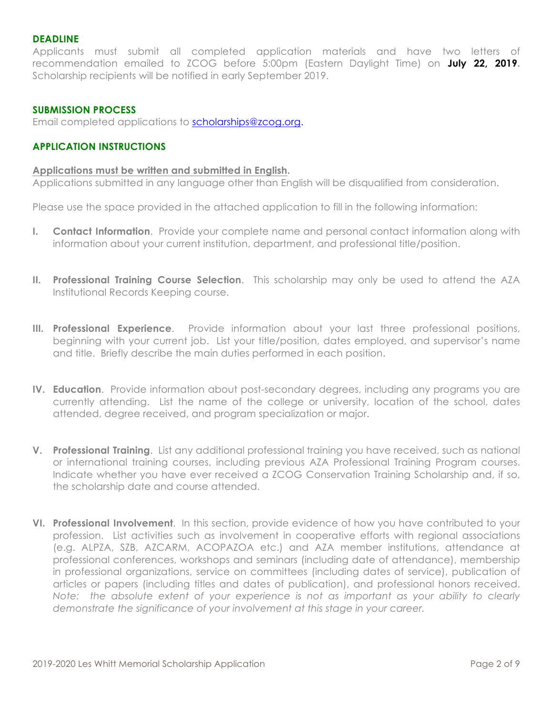# **DEADLINE**

Applicants must submit all completed application materials and have two letters of recommendation emailed to ZCOG before 5:00pm (Eastern Daylight Time) on **July 22, 2019.** Scholarship recipients will be notified in early September 2019.

## **SUBMISSION PROCESS**

Email completed applications to scholarships@zcog.org.

#### **APPLICATION INSTRUCTIONS**

#### **Applications must be written and submitted in English.**

Applications submitted in any language other than English will be disqualified from consideration.

Please use the space provided in the attached application to fill in the following information:

- **I. Contact Information**. Provide your complete name and personal contact information along with information about your current institution, department, and professional title/position.
- **II. Professional Training Course Selection**. This scholarship may only be used to attend the AZA Institutional Records Keeping course.
- **III. Professional Experience**. Provide information about your last three professional positions, beginning with your current job. List your title/position, dates employed, and supervisor's name and title. Briefly describe the main duties performed in each position.
- **IV. Education**. Provide information about post-secondary degrees, including any programs you are currently attending. List the name of the college or university, location of the school, dates attended, degree received, and program specialization or major.
- **V. Professional Training**. List any additional professional training you have received, such as national or international training courses, including previous AZA Professional Training Program courses. Indicate whether you have ever received a ZCOG Conservation Training Scholarship and, if so, the scholarship date and course attended.
- **VI. Professional Involvement**. In this section, provide evidence of how you have contributed to your profession. List activities such as involvement in cooperative efforts with regional associations (e.g. ALPZA, SZB, AZCARM, ACOPAZOA etc.) and AZA member institutions, attendance at professional conferences, workshops and seminars (including date of attendance), membership in professional organizations, service on committees (including dates of service), publication of articles or papers (including titles and dates of publication), and professional honors received. *Note: the absolute extent of your experience is not as important as your ability to clearly demonstrate the significance of your involvement at this stage in your career.*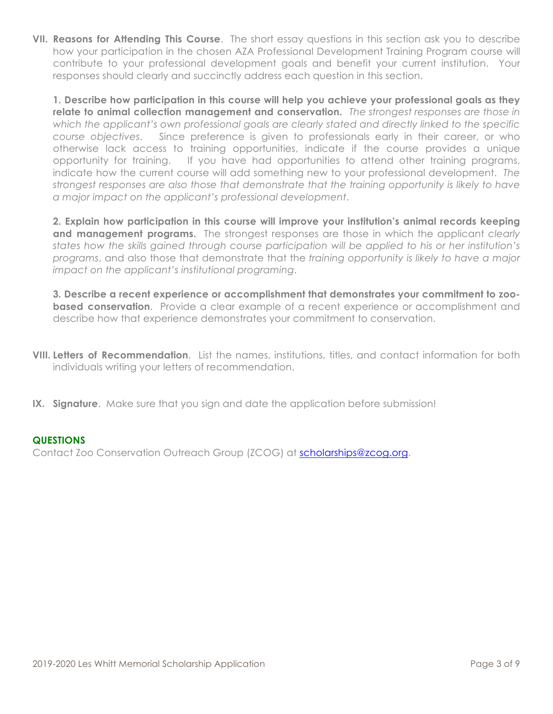**VII. Reasons for Attending This Course**. The short essay questions in this section ask you to describe how your participation in the chosen AZA Professional Development Training Program course will contribute to your professional development goals and benefit your current institution. Your responses should clearly and succinctly address each question in this section.

**1. Describe how participation in this course will help you achieve your professional goals as they relate to animal collection management and conservation.** *The strongest responses are those in which the applicant's own professional goals are clearly stated and directly linked to the specific course objectives*. Since preference is given to professionals early in their career, or who otherwise lack access to training opportunities, indicate if the course provides a unique opportunity for training. If you have had opportunities to attend other training programs, indicate how the current course will add something new to your professional development. *The strongest responses are also those that demonstrate that the training opportunity is likely to have a major impact on the applicant's professional development*.

**2. Explain how participation in this course will improve your institution's animal records keeping and management programs.** The strongest responses are those in which the applicant *clearly states how the skills gained through course participation will be applied to his or her institution's programs*, and also those that demonstrate that the *training opportunity is likely to have a major impact on the applicant's institutional programing*.

**3. Describe a recent experience or accomplishment that demonstrates your commitment to zoobased conservation**. Provide a clear example of a recent experience or accomplishment and describe how that experience demonstrates your commitment to conservation.

- **VIII. Letters of Recommendation**. List the names, institutions, titles, and contact information for both individuals writing your letters of recommendation.
- **IX. Signature**. Make sure that you sign and date the application before submission!

# **QUESTIONS**

Contact Zoo Conservation Outreach Group (ZCOG) at scholarships@zcog.org.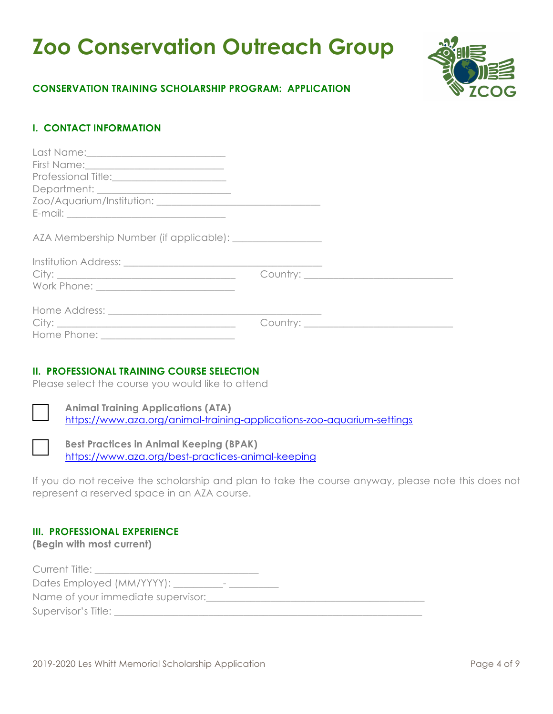# **Zoo Conservation Outreach Group**



# **CONSERVATION TRAINING SCHOLARSHIP PROGRAM: APPLICATION**

# **I. CONTACT INFORMATION**

| Professional Title:_________________________ |  |
|----------------------------------------------|--|
|                                              |  |
|                                              |  |
|                                              |  |
|                                              |  |
|                                              |  |
|                                              |  |
|                                              |  |
|                                              |  |
|                                              |  |
|                                              |  |

# **II. PROFESSIONAL TRAINING COURSE SELECTION**

Please select the course you would like to attend

**Animal Training Applications (ATA)** https://www.aza.org/animal-training-applications-zoo-aquarium-settings

**Best Practices in Animal Keeping (BPAK)** https://www.aza.org/best-practices-animal-keeping

If you do not receive the scholarship and plan to take the course anyway, please note this does not represent a reserved space in an AZA course.

# **III. PROFESSIONAL EXPERIENCE**

**(Begin with most current)**

| Current Title:                                      |  |
|-----------------------------------------------------|--|
| Dates Employed (MM/YYYY): ____<br>$\qquad \qquad -$ |  |
| Name of your immediate supervisor:                  |  |
| Supervisor's Title:                                 |  |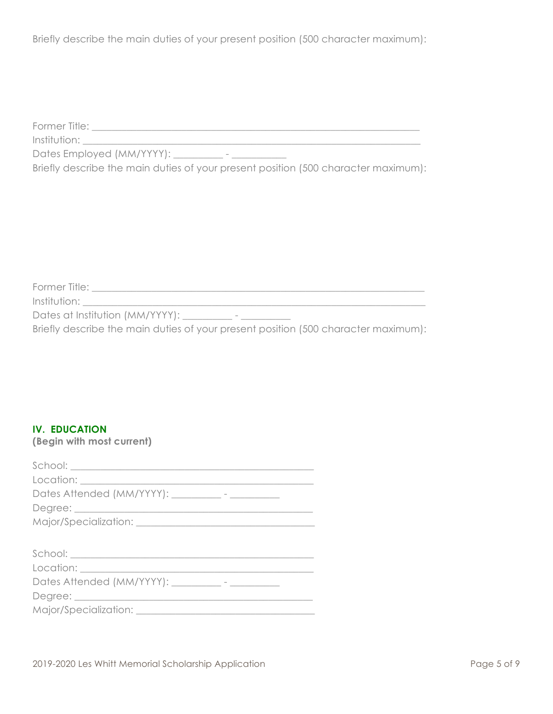Briefly describe the main duties of your present position (500 character maximum):

Former Title: \_\_\_\_\_\_\_\_\_\_\_\_\_\_\_\_\_\_\_\_\_\_\_\_\_\_\_\_\_\_\_\_\_\_\_\_\_\_\_\_\_\_\_\_\_\_\_\_\_\_\_\_\_\_\_\_\_\_\_\_\_\_\_\_\_\_

Institution: \_\_\_\_\_\_\_\_\_\_\_\_\_\_\_\_\_\_\_\_\_\_\_\_\_\_\_\_\_\_\_\_\_\_\_\_\_\_\_\_\_\_\_\_\_\_\_\_\_\_\_\_\_\_\_\_\_\_\_\_\_\_\_\_\_\_\_\_

Dates Employed (MM/YYYY):

Briefly describe the main duties of your present position (500 character maximum):

| Former Title:                                                                      |
|------------------------------------------------------------------------------------|
| Institution:                                                                       |
| Dates at Institution (MM/YYYY):<br>$\,$                                            |
| Briefly describe the main duties of your present position (500 character maximum): |

# **IV. EDUCATION**

**(Begin with most current)**

| Dates Attended (MM/YYYY): __________- - ___________ |
|-----------------------------------------------------|
|                                                     |
|                                                     |
|                                                     |
|                                                     |
|                                                     |
| Dates Attended (MM/YYYY): __________- - __________  |
|                                                     |
|                                                     |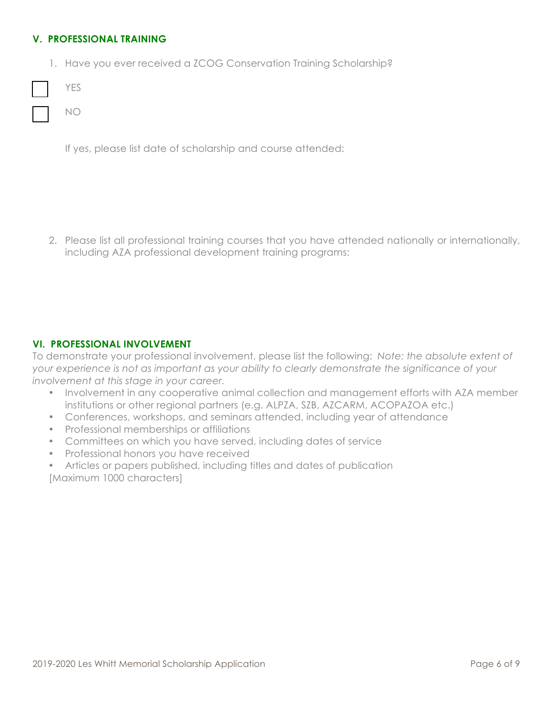# **V. PROFESSIONAL TRAINING**

1. Have you ever received a ZCOG Conservation Training Scholarship?

|  | M. |
|--|----|
|  |    |

NO

If yes, please list date of scholarship and course attended:

2. Please list all professional training courses that you have attended nationally or internationally, including AZA professional development training programs:

# **VI. PROFESSIONAL INVOLVEMENT**

To demonstrate your professional involvement, please list the following: *Note: the absolute extent of your experience is not as important as your ability to clearly demonstrate the significance of your involvement at this stage in your career.* 

- Involvement in any cooperative animal collection and management efforts with AZA member institutions or other regional partners (e.g. ALPZA, SZB, AZCARM, ACOPAZOA etc.)
- Conferences, workshops, and seminars attended, including year of attendance
- Professional memberships or affiliations
- Committees on which you have served, including dates of service
- Professional honors you have received
- Articles or papers published, including titles and dates of publication [Maximum 1000 characters]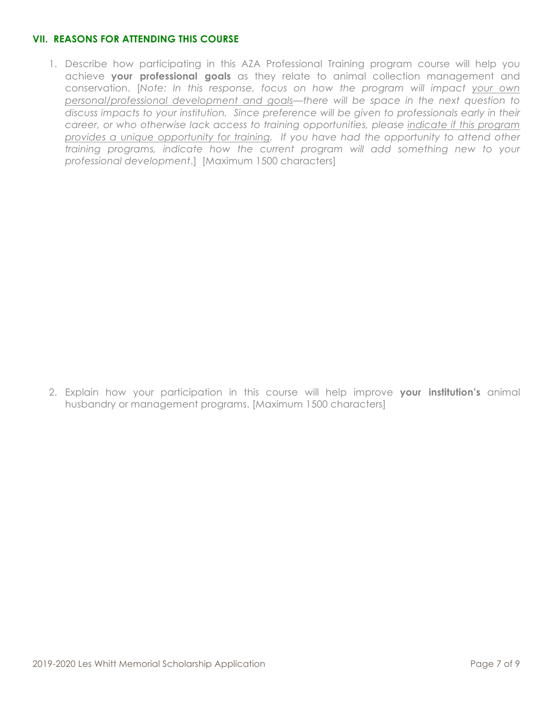# **VII. REASONS FOR ATTENDING THIS COURSE**

1. Describe how participating in this AZA Professional Training program course will help you achieve **your professional goals** as they relate to animal collection management and conservation. [*Note: In this response, focus on how the program will impact your own personal/professional development and goals—there will be space in the next question to discuss impacts to your institution. Since preference will be given to professionals early in their career, or who otherwise lack access to training opportunities, please indicate if this program provides a unique opportunity for training. If you have had the opportunity to attend other training programs, indicate how the current program will add something new to your professional development*.] [Maximum 1500 characters]

2. Explain how your participation in this course will help improve **your institution's** animal husbandry or management programs. [Maximum 1500 characters]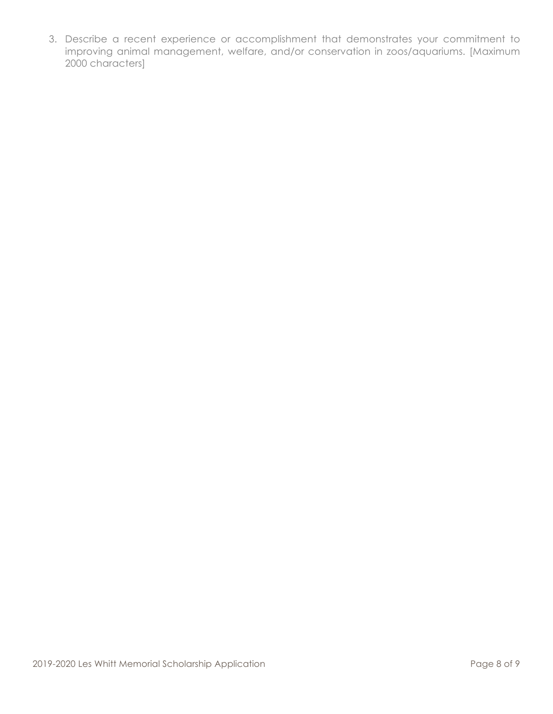3. Describe a recent experience or accomplishment that demonstrates your commitment to improving animal management, welfare, and/or conservation in zoos/aquariums. [Maximum 2000 characters]